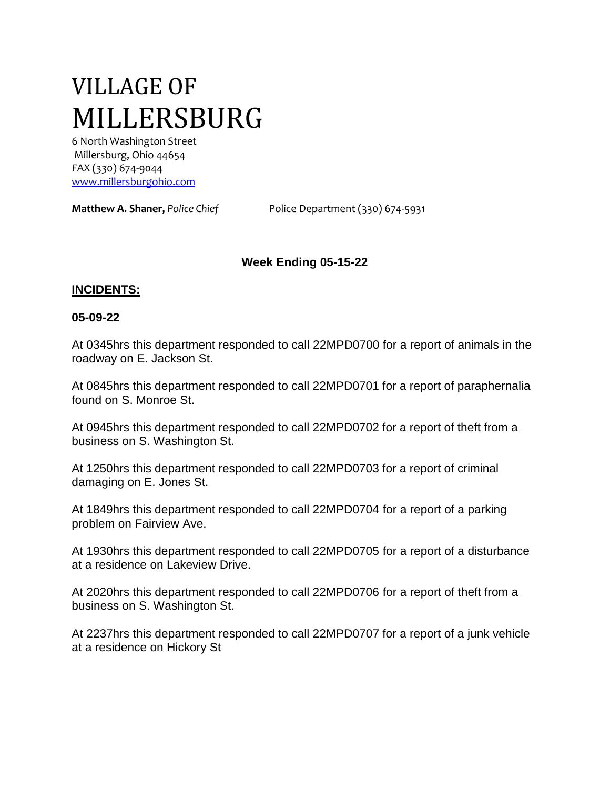# VILLAGE OF MILLERSBURG

6 North Washington Street Millersburg, Ohio 44654 FAX (330) 674-9044 [www.millersburgohio.com](http://www.millersburgohio.com/)

**Matthew A. Shaner,** *Police Chief* Police Department (330) 674-5931

## **Week Ending 05-15-22**

#### **INCIDENTS:**

#### **05-09-22**

At 0345hrs this department responded to call 22MPD0700 for a report of animals in the roadway on E. Jackson St.

At 0845hrs this department responded to call 22MPD0701 for a report of paraphernalia found on S. Monroe St.

At 0945hrs this department responded to call 22MPD0702 for a report of theft from a business on S. Washington St.

At 1250hrs this department responded to call 22MPD0703 for a report of criminal damaging on E. Jones St.

At 1849hrs this department responded to call 22MPD0704 for a report of a parking problem on Fairview Ave.

At 1930hrs this department responded to call 22MPD0705 for a report of a disturbance at a residence on Lakeview Drive.

At 2020hrs this department responded to call 22MPD0706 for a report of theft from a business on S. Washington St.

At 2237hrs this department responded to call 22MPD0707 for a report of a junk vehicle at a residence on Hickory St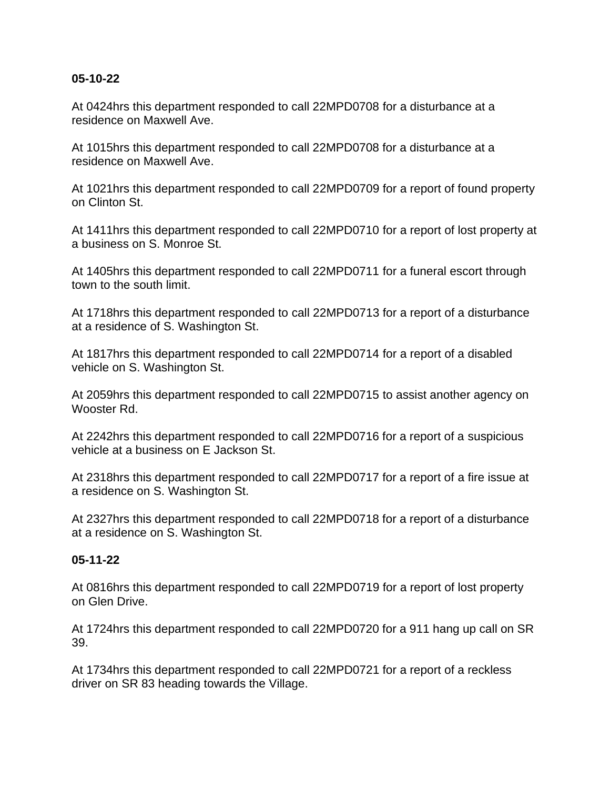#### **05-10-22**

At 0424hrs this department responded to call 22MPD0708 for a disturbance at a residence on Maxwell Ave.

At 1015hrs this department responded to call 22MPD0708 for a disturbance at a residence on Maxwell Ave.

At 1021hrs this department responded to call 22MPD0709 for a report of found property on Clinton St.

At 1411hrs this department responded to call 22MPD0710 for a report of lost property at a business on S. Monroe St.

At 1405hrs this department responded to call 22MPD0711 for a funeral escort through town to the south limit.

At 1718hrs this department responded to call 22MPD0713 for a report of a disturbance at a residence of S. Washington St.

At 1817hrs this department responded to call 22MPD0714 for a report of a disabled vehicle on S. Washington St.

At 2059hrs this department responded to call 22MPD0715 to assist another agency on Wooster Rd.

At 2242hrs this department responded to call 22MPD0716 for a report of a suspicious vehicle at a business on E Jackson St.

At 2318hrs this department responded to call 22MPD0717 for a report of a fire issue at a residence on S. Washington St.

At 2327hrs this department responded to call 22MPD0718 for a report of a disturbance at a residence on S. Washington St.

#### **05-11-22**

At 0816hrs this department responded to call 22MPD0719 for a report of lost property on Glen Drive.

At 1724hrs this department responded to call 22MPD0720 for a 911 hang up call on SR 39.

At 1734hrs this department responded to call 22MPD0721 for a report of a reckless driver on SR 83 heading towards the Village.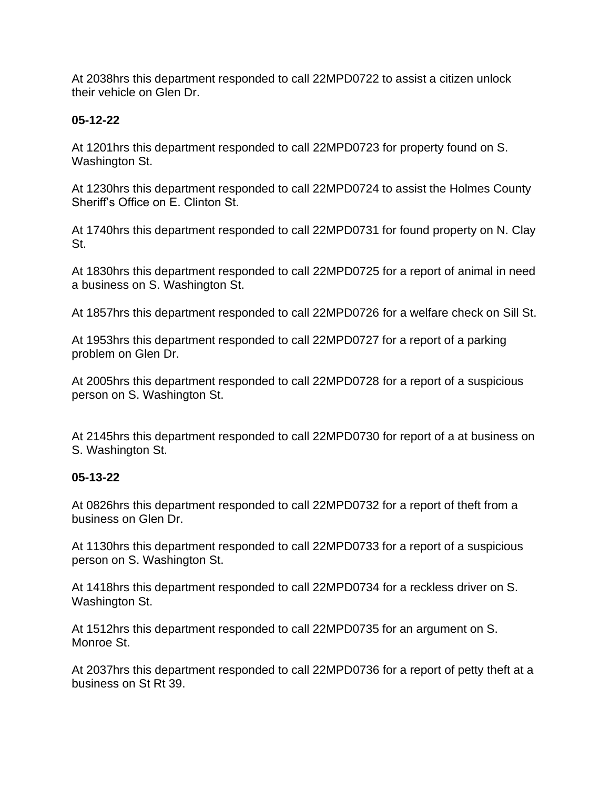At 2038hrs this department responded to call 22MPD0722 to assist a citizen unlock their vehicle on Glen Dr.

## **05-12-22**

At 1201hrs this department responded to call 22MPD0723 for property found on S. Washington St.

At 1230hrs this department responded to call 22MPD0724 to assist the Holmes County Sheriff's Office on E. Clinton St.

At 1740hrs this department responded to call 22MPD0731 for found property on N. Clay St.

At 1830hrs this department responded to call 22MPD0725 for a report of animal in need a business on S. Washington St.

At 1857hrs this department responded to call 22MPD0726 for a welfare check on Sill St.

At 1953hrs this department responded to call 22MPD0727 for a report of a parking problem on Glen Dr.

At 2005hrs this department responded to call 22MPD0728 for a report of a suspicious person on S. Washington St.

At 2145hrs this department responded to call 22MPD0730 for report of a at business on S. Washington St.

## **05-13-22**

At 0826hrs this department responded to call 22MPD0732 for a report of theft from a business on Glen Dr.

At 1130hrs this department responded to call 22MPD0733 for a report of a suspicious person on S. Washington St.

At 1418hrs this department responded to call 22MPD0734 for a reckless driver on S. Washington St.

At 1512hrs this department responded to call 22MPD0735 for an argument on S. Monroe St.

At 2037hrs this department responded to call 22MPD0736 for a report of petty theft at a business on St Rt 39.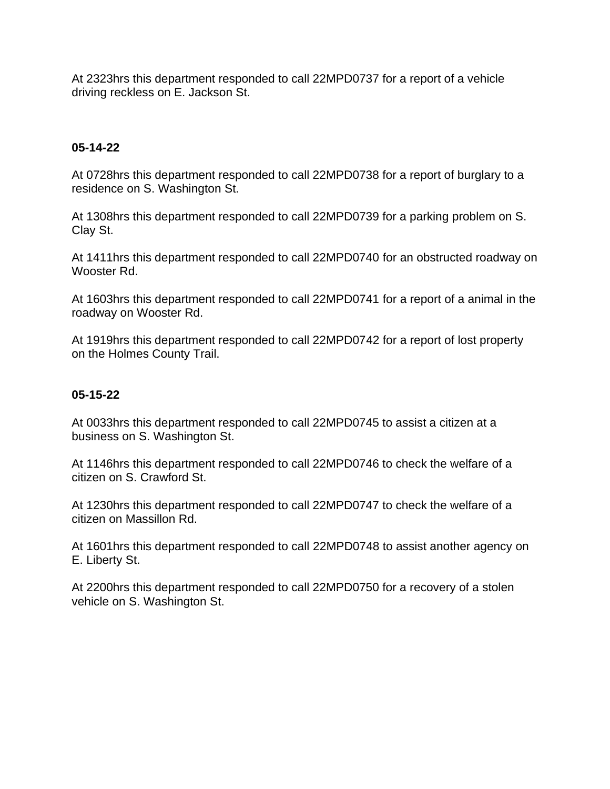At 2323hrs this department responded to call 22MPD0737 for a report of a vehicle driving reckless on E. Jackson St.

#### **05-14-22**

At 0728hrs this department responded to call 22MPD0738 for a report of burglary to a residence on S. Washington St.

At 1308hrs this department responded to call 22MPD0739 for a parking problem on S. Clay St.

At 1411hrs this department responded to call 22MPD0740 for an obstructed roadway on Wooster Rd.

At 1603hrs this department responded to call 22MPD0741 for a report of a animal in the roadway on Wooster Rd.

At 1919hrs this department responded to call 22MPD0742 for a report of lost property on the Holmes County Trail.

### **05-15-22**

At 0033hrs this department responded to call 22MPD0745 to assist a citizen at a business on S. Washington St.

At 1146hrs this department responded to call 22MPD0746 to check the welfare of a citizen on S. Crawford St.

At 1230hrs this department responded to call 22MPD0747 to check the welfare of a citizen on Massillon Rd.

At 1601hrs this department responded to call 22MPD0748 to assist another agency on E. Liberty St.

At 2200hrs this department responded to call 22MPD0750 for a recovery of a stolen vehicle on S. Washington St.